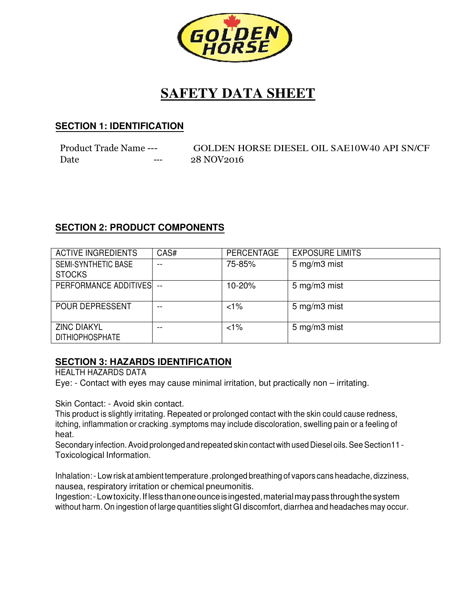

# **SAFETY DATA SHEET**

### **SECTION 1: IDENTIFICATION SECTION**

| Product Trade Name --- |         |            | GOLDEN HORSE DIESEL OIL SAE10W40 API SN/CF |
|------------------------|---------|------------|--------------------------------------------|
| Date                   | $- - -$ | 28 NOV2016 |                                            |

# **SECTION 2: PRODUCT COMPONENTS SECTION**

| <b>ACTIVE INGREDIENTS</b>                    | CAS# | <b>PERCENTAGE</b> | <b>EXPOSURE LIMITS</b> |
|----------------------------------------------|------|-------------------|------------------------|
| <b>SEMI-SYNTHETIC BASE</b><br><b>STOCKS</b>  |      | 75-85%            | 5 mg/m3 mist           |
| PERFORMANCE ADDITIVES --                     |      | 10-20%            | 5 mg/m3 mist           |
| <b>POUR DEPRESSENT</b>                       |      | $<1\%$            | 5 mg/m3 mist           |
| <b>ZINC DIAKYL</b><br><b>DITHIOPHOSPHATE</b> | $ -$ | $1\%$             | 5 mg/m3 mist           |

### **SECTION 3: HAZARDS IDENTIFICATION SECTION HAZARDS IDENTIFICATION**

HEALTH HAZARDS DATA

Eye: - Contact with eyes may cause minimal irritation, but practically non – irritating.

Skin Contact: - Avoid skin contact.

This product is slightly irritating. Repeated or prolonged contact with the skin could cause redness, itching, inflammation or cracking .symptoms may include discoloration, swelling pain or a feeling of heat.

Secondary infection. Avoid prolonged and repeated skin contact with used Diesel oils. See Section11 -Toxicological Information.

Inhalation: - Low risk at ambient temperature temperature .prolonged breathing of vapors cans headache, headache, dizziness, nausea, respiratory irritation or chemical pneumonitis.

Ingestion: - Low toxicity. If less than one ounce is ingested, material may pass through the system without harm. On ingestion of large quantities slight GI discomfort, diarrhea and headaches may occur.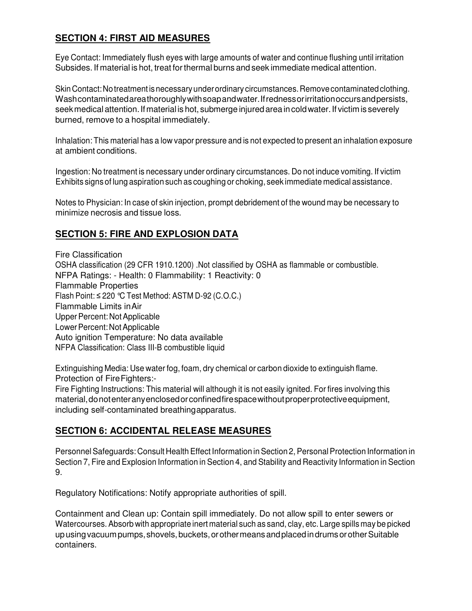### **SECTION 4: FIRST AID MEASURES**

Eye Contact: Immediately flush eyes with large amounts of water and continue flushing until irritation Subsides. If material is hot, treat for thermal burns and seek immediate medical attention.

Skin Contact: No treatment is necessary under ordinary circumstances. Remove contaminated clothing. Wash contaminated area thoroughly with soap and water. If redness or irritation occurs and persists, seek medical attention. If material is hot, submerge injured area in cold water. If victim is severely burned, remove to a hospital immediately.

Inhalation: This material has a low vapor pressure and is not expected to present an inhalation exposure at ambient conditions.

Ingestion: No treatment is necessary under ordinary circumstances. Do not induce vomiting. If victim Exhibits signs of lung aspiration such as coughing or choking, seek immediate medical assistance.

Notes to Physician: In case of skin injection, prompt debridement of the wound may be necessary to minimize necrosis and tissue loss.

# **SECTION 5: FIRE AND EXPLOSION DATA**

Fire Classification OSHA classification (29 CFR 1910.1200) .Not classified by OSHA as flammable or combustible. NFPA Ratings: - Health: 0 Flammability: 1 Reactivity: 0 Flammable Properties Flash Point: ≤ 220 °C Test Method: ASTM D-92 (C.O.C.) Flammable Limits in Air Upper Percent: Not Applicable Lower Percent: Not Applicable Auto ignition Temperature: No data available NFPA Classification: Class III-B combustible liquid

Extinguishing Media: Use water fog, foam, dry chemical or carbon dioxide to extinguish flame. Protection of Fire Fighters:-

Fire Fighting Instructions: This material will although it is not easily ignited. For fires involving this material, do not enter any enclosed or confined fire space without proper protective equipment, including self-contaminated breathing apparatus.

# **SECTION 6: ACCIDENTAL RELEASE MEASURES**

Personnel Safeguards: Consult Health Effect Information in Section 2, Personal Protection Information in Section 7, Fire and Explosion Information in Section 4, and Stability and Reactivity Information in Section 9.

Regulatory Notifications: Notify appropriate authorities of spill.

Containment and Clean up: Contain spill immediately. Do not allow spill to enter sewers or Watercourses. Absorb with appropriate inert material such as sand, clay, etc. Large spills may be picked up using vacuum pumps, shovels, buckets, or other means and placed in drums or other Suitable containers.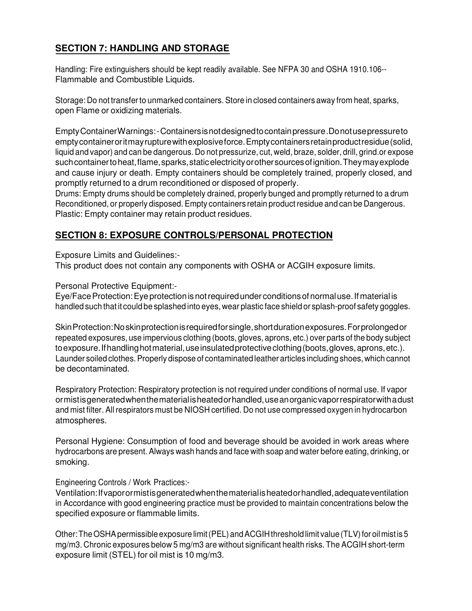# **SECTION 7: HANDLING AND STORAGE**

Handling: Fire extinguishers should be kept readily available. See NFPA 30 and OSHA 1910.106-- Flammable and Combustible Liquids.

Storage: Do not transfer to unmarked containers. Store in closed containers away from heat, sparks, open Flame or oxidizing materials.

Empty Container Warnings: - Containers is not designed to contain pressure .Do not use pressure to empty container or it may rupture with explosive force. Empty containers retain product residue (solid, liquid and vapor) and can be dangerous. Do not pressurize, cut, weld, braze, solder, drill, grind.or expose such container to heat, flame, sparks, static electricity or other sources of ignition. They may explode and cause injury or death. Empty containers should be completely trained, properly closed, and promptly returned to a drum reconditioned or disposed of properly.

Drums: Empty drums should be completely drained, properly bunged and promptly returned to a drum Reconditioned, or properly disposed. Empty containers retain product residue and can be Dangerous. Plastic: Empty container may retain product residues.

### **SECTION 8: EXPOSURE CONTROLS/PERSONAL PROTECTION**

Exposure Limits and Guidelines:-

This product does not contain any components with OSHA or ACGIH exposure limits.

Personal Protective Equipment:-

Eye/Face Protection: Eye protection is not required under conditions of normal use. If material is handled such that it could be splashed into eyes, wear plastic face shield or splash-proof safety goggles.

Skin Protection: No skin protection is required for single, short duration exposures. For prolonged or repeated exposures, use impervious clothing (boots, gloves, aprons, etc.) over parts of the body subject to exposure. If handling hot material, use insulated protective clothing (boots, gloves, aprons, etc.). Launder soiled clothes. Properly dispose of contaminated leather articles including shoes, which cannot be decontaminated.

Respiratory Protection: Respiratory protection is not required under conditions of normal use. If vapor or mist is generated when the material is heated or handled, use an organic vapor respirator with a dust and mist filter. All respirators must be NIOSH certified. Do not use compressed oxygen in hydrocarbon atmospheres.

Personal Hygiene: Consumption of food and beverage should be avoided in work areas where hydrocarbons are present. Always wash hands and face with soap and water before eating, drinking, or smoking.

#### Engineering Controls / Work Practices:-

Ventilation: If vapor or mist is generated when the material is heated or handled, adequate ventilation in Accordance with good engineering practice must be provided to maintain concentrations below the specified exposure or flammable limits.

Other: The OSHA permissible exposure limit (PEL) and ACGIH threshold limit value (TLV) for oil mist is 5 mg/m3. Chronic exposures below 5 mg/m3 are without significant health risks. The ACGIH short-term exposure limit (STEL) for oil mist is 10 mg/m3.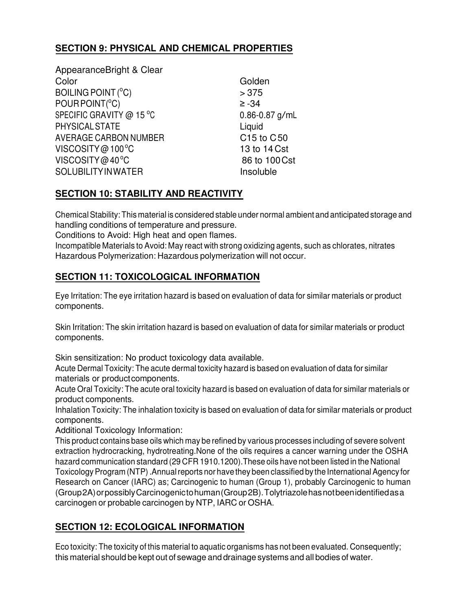# **SECTION 9: PHYSICAL AND CHEMICAL PROPERTIES**

AppearanceBright & Clear Color Golden Color  $BOLING POINT (°C) > 375$  $POUR POINT(^oC)$   $\geq -34$ SPECIFIC GRAVITY @ 15 °C 0.86-0.87 g/mL PHYSICAL STATE Liquid AVERAGE CARBON NUMBER C15 to C50  $VISCOSITY@100°C$  100  $13$  to 14 Cst  $VISCOSITY@40°C$  86 to 100 Cst SOLUBILITY IN WATER Insoluble

# **SECTION 10: STABILITY AND REACTIVITY**

Chemical Stability: This material is considered stable under normal ambient and anticipated storage and handling conditions of temperature and pressure.

Conditions to Avoid: High heat and open flames.

Incompatible Materials to Avoid: May react with strong oxidizing agents, such as chlorates, nitrates Hazardous Polymerization: Hazardous polymerization will not occur.

# **SECTION 11: TOXICOLOGICAL INFORMATION**

Eye Irritation: The eye irritation hazard is based on evaluation of data for similar materials or product components.

Skin Irritation: The skin irritation hazard is based on evaluation of data for similar materials or product components.

Skin sensitization: No product toxicology data available.

Acute Dermal Toxicity: The acute dermal toxicity hazard is based on evaluation of data for similar materials or product components.

Acute Oral Toxicity: The acute oral toxicity hazard is based on evaluation of data for similar materials or product components.

Inhalation Toxicity: The inhalation toxicity is based on evaluation of data for similar materials or product components.

Additional Toxicology Information:

This product contains base oils which may be refined by various processes including of severe solvent extraction hydrocracking, hydrotreating.None of the oils requires a cancer warning under the OSHA hazard communication standard (29 CFR 1910.1200).These oils have not been listed in the National Toxicology Program (NTP) .Annual reports nor have they been classified by the International Agency for Research on Cancer (IARC) as; Carcinogenic to human (Group 1), probably Carcinogenic to human (Group 2A) or possibly Carcinogenic to human (Group 2B). Tolytriazole has not been identified as a carcinogen or probable carcinogen by NTP, IARC or OSHA.

### **SECTION 12: ECOLOGICAL INFORMATION**

Eco toxicity: The toxicity of this material to aquatic organisms has not been evaluated. Consequently; this material should be kept out of sewage and drainage systems and all bodies of water.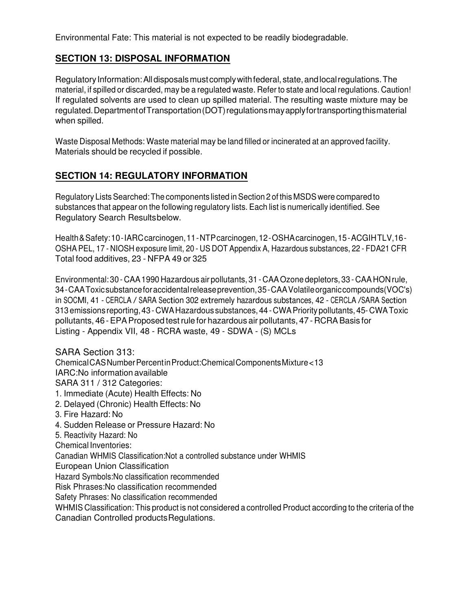Environmental Fate: This material is not expected to be readily biodegradable.

### **SECTION 13: DISPOSAL INFORMATION**

Regulatory Information: All disposals must comply with federal, state, and local regulations. The material, if spilled or discarded, may be a regulated waste. Refer to state and local regulations. Caution! If regulated solvents are used to clean up spilled material. The resulting waste mixture may be regulated. Department of Transportation (DOT) regulations may apply for transporting this material when spilled.

Waste Disposal Methods: Waste material may be land filled or incinerated at an approved facility. Materials should be recycled if possible.

# **SECTION 14: REGULATORY INFORMATION**

Regulatory Lists Searched: The components listed in Section 2 of this MSDS were compared to substances that appear on the following regulatory lists. Each list is numerically identified. See Regulatory Search Results below.

Health & Safety: 10 - IARC carcinogen, 11 - NTP carcinogen, 12 - OSHA carcinogen, 15 - ACGIH TLV,16 - OSHA PEL, 17 - NIOSH exposure limit, 20 - US DOT Appendix A, Hazardous substances, 22 - FDA21 CFR Total food additives, 23 - NFPA 49 or 325

Environmental: 30 - CAA 1990 Hazardous air pollutants, 31 - CAA Ozone depletors, 33 - CAA HON rule, 34 - CAA Toxic substance for accidental release prevention, 35 - CAA Volatile organic compounds(VOC's) in SOCMI, <sup>41</sup> - CERCLA / SARA Section <sup>302</sup> extremely hazardous substances, <sup>42</sup> - CERCLA /SARA Section 313 emissions reporting, 43 - CWA Hazardous substances, 44 - CWA Priority pollutants, 45- CWA Toxic pollutants, 46 - EPA Proposed test rule for hazardous air pollutants, 47 - RCRA Basis for Listing - Appendix VII, 48 - RCRA waste, 49 - SDWA - (S) MCLs

SARA Section 313: Chemical CAS Number Percent in Product:Chemical Components Mixture < 13 IARC:No information available SARA 311 / 312 Categories: 1. Immediate (Acute) Health Effects: No 2. Delayed (Chronic) Health Effects: No 3. Fire Hazard: No 4. Sudden Release or Pressure Hazard: No 5. Reactivity Hazard: No Chemical Inventories: Canadian WHMIS Classification:Not a controlled substance under WHMIS European Union Classification

Hazard Symbols:No classification recommended

Risk Phrases:No classification recommended

Safety Phrases: No classification recommended

WHMIS Classification: This product is not considered a controlled Product according to the criteria of the Canadian Controlled products Regulations.